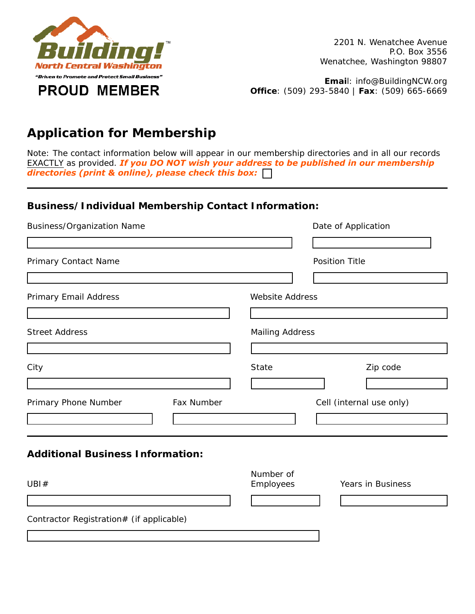

**Emai**l: info@BuildingNCW.org **Office**: (509) 293-5840 | **Fax**: (509) 665-6669

# **Application for Membership**

*Note: The contact information below will appear in our membership directories and in all our records EXACTLY as provided. If you DO NOT wish your address to be published in our membership directories (print & online), please check this box:*

### **Business/Individual Membership Contact Information:**

| <b>Business/Organization Name</b>        | Date of Application                              |  |  |
|------------------------------------------|--------------------------------------------------|--|--|
| Primary Contact Name                     | <b>Position Title</b>                            |  |  |
| Primary Email Address                    | <b>Website Address</b><br><b>Mailing Address</b> |  |  |
| <b>Street Address</b>                    |                                                  |  |  |
| City                                     | Zip code<br><b>State</b>                         |  |  |
| Fax Number<br>Primary Phone Number       | Cell (internal use only)                         |  |  |
| <b>Additional Business Information:</b>  |                                                  |  |  |
| UBI#                                     | Number of<br>Employees<br>Years in Business      |  |  |
| Contractor Registration# (if applicable) |                                                  |  |  |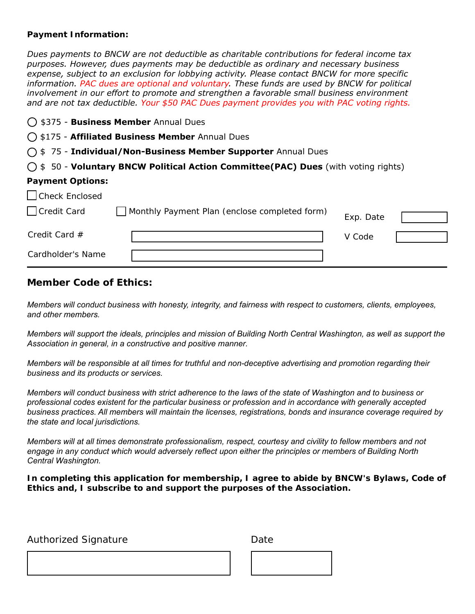#### **Payment Information:**

*Dues payments to BNCW are not deductible as charitable contributions for federal income tax purposes. However, dues payments may be deductible as ordinary and necessary business expense, subject to an exclusion for lobbying activity. Please contact BNCW for more specific information. PAC dues are optional and voluntary. These funds are used by BNCW for political involvement in our effort to promote and strengthen a favorable small business environment and are not tax deductible. Your \$50 PAC Dues payment provides you with PAC voting rights.*

| ◯ \$375 - Business Member Annual Dues |                                                                                             |           |  |
|---------------------------------------|---------------------------------------------------------------------------------------------|-----------|--|
|                                       | ◯ \$175 - Affiliated Business Member Annual Dues                                            |           |  |
|                                       | ○ \$75 - Individual/Non-Business Member Supporter Annual Dues                               |           |  |
|                                       | $\bigcirc$ \$ 50 - Voluntary BNCW Political Action Committee(PAC) Dues (with voting rights) |           |  |
| <b>Payment Options:</b>               |                                                                                             |           |  |
| $\Box$ Check Enclosed                 |                                                                                             |           |  |
| Credit Card                           | Monthly Payment Plan (enclose completed form)                                               | Exp. Date |  |
| Credit Card $#$                       |                                                                                             | V Code    |  |
| Cardholder's Name                     |                                                                                             |           |  |

#### **Member Code of Ethics:**

*Members will conduct business with honesty, integrity, and fairness with respect to customers, clients, employees, and other members.* 

*Members will support the ideals, principles and mission of Building North Central Washington, as well as support the Association in general, in a constructive and positive manner.* 

*Members will be responsible at all times for truthful and non-deceptive advertising and promotion regarding their business and its products or services.* 

*Members will conduct business with strict adherence to the laws of the state of Washington and to business or professional codes existent for the particular business or profession and in accordance with generally accepted business practices. All members will maintain the licenses, registrations, bonds and insurance coverage required by the state and local jurisdictions.* 

*Members will at all times demonstrate professionalism, respect, courtesy and civility to fellow members and not engage in any conduct which would adversely reflect upon either the principles or members of Building North Central Washington.* 

**In completing this application for membership, I agree to abide by BNCW's Bylaws, Code of Ethics and, I subscribe to and support the purposes of the Association.**

Authorized Signature **Date** Date

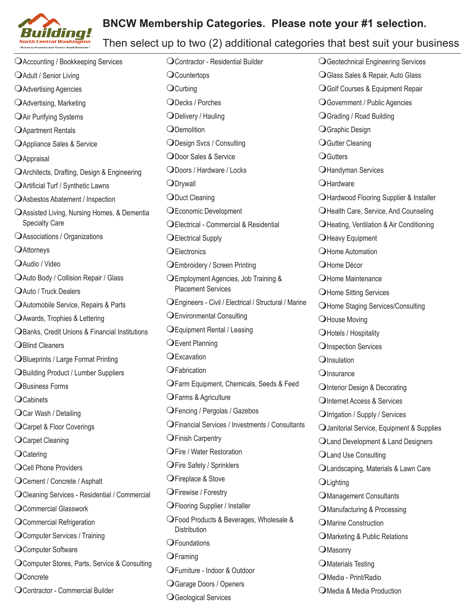## **BNCW Membership Categories. Please note your #1 selection.**



## Then select up to two (2) additional categories that best suit your business

**OAccounting / Bookkeeping Services OAdult / Senior Living O** Advertising Agencies **O** Advertising, Marketing **OAir Purifying Systems O** Apartment Rentals **O**Appliance Sales & Service OAppraisal O Architects, Drafting, Design & Engineering **OArtificial Turf / Synthetic Lawns** O Asbestos Abatement / Inspection OAssisted Living, Nursing Homes, & Dementia Specialty Care  $\Omega$ Associations / Organizations OAttorneys  $O$ Audio / Video O Auto Body / Collision Repair / Glass **OAuto / Truck Dealers** O Automobile Service, Repairs & Parts O Awards, Trophies & Lettering **OBanks, Credit Unions & Financial Institutions OBlind Cleaners OBlueprints / Large Format Printing OBuilding Product / Lumber Suppliers OBusiness Forms**  $O$ Cabinets O Car Wash / Detailing O Carpet & Floor Coverings O Carpet Cleaning  $O$ Catering O Cell Phone Providers O Cement / Concrete / Asphalt O Cleaning Services - Residential / Commercial O Commercial Glasswork O Commercial Refrigeration O Computer Services / Training O Computer Software O Computer Stores, Parts, Service & Consulting OConcrete O Contractor - Commercial Builder

O Contractor - Residential Builder  $O$ Countertops  $Q$ Curbing ODecks / Porches ODelivery / Hauling ODemolition ODesign Svcs / Consulting O Door Sales & Service ODoors / Hardware / Locks ODrywall ODuct Cleaning OEconomic Development O Electrical - Commercial & Residential O Electrical Supply OElectronics **OEmbroidery / Screen Printing** OEmployment Agencies, Job Training & Placement Services mEngineers - Civil / Electrical / Structural / Marine **OEnvironmental Consulting OEquipment Rental / Leasing OEvent Planning**  $Q$ Excavation OFabrication OFarm Equipment, Chemicals, Seeds & Feed OFarms & Agriculture O Fencing / Pergolas / Gazebos O Financial Services / Investments / Consultants **OFinish Carpentry OFire / Water Restoration OFire Safety / Sprinklers** OFireplace & Stove O Firewise / Forestry **OFlooring Supplier / Installer** O Food Products & Beverages, Wholesale & **Distribution**  $O$ Foundations  $Q$ Framing O Furniture - Indoor & Outdoor O Garage Doors / Openers O Geological Services

**OGeotechnical Engineering Services** O Glass Sales & Repair, Auto Glass OGolf Courses & Equipment Repair O Government / Public Agencies **OGrading / Road Building** O Graphic Design **O**Gutter Cleaning **OGutters** OHandyman Services  $Q$ Hardware **OHardwood Flooring Supplier & Installer OHealth Care, Service, And Counseling** O Heating, Ventilation & Air Conditioning **OHeavy Equipment** O Home Automation O Home Décor OHome Maintenance **OHome Sitting Services OHome Staging Services/Consulting OHouse Moving O** Hotels / Hospitality **OInspection Services**  $O$ Insulation  $O$ Insurance OInterior Design & Decorating OInternet Access & Services  $Q$  Irrigation / Supply / Services  $\bigcirc$  Janitorial Service, Equipment & Supplies O Land Development & Land Designers **OLand Use Consulting** O Landscaping, Materials & Lawn Care  $O$ Lighting O Management Consultants  $O$ Manufacturing & Processing **OMarine Construction** O Marketing & Public Relations OMasonry **O**Materials Testing OMedia - Print/Radio O Media & Media Production